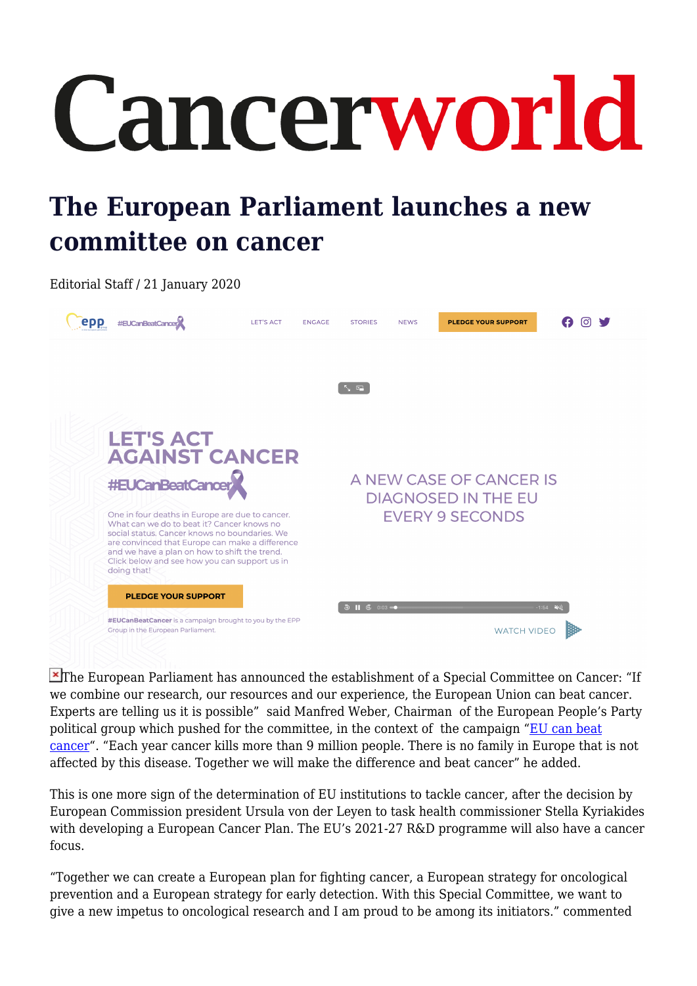## Cancerworld

## **The European Parliament launches a new committee on cancer**

Editorial Staff / 21 January 2020



**X**The European Parliament has announced the establishment of a Special Committee on Cancer: "If we combine our research, our resources and our experience, the European Union can beat cancer. Experts are telling us it is possible" said Manfred Weber, Chairman of the European People's Party political group which pushed for the committee, in the context of the campaign "[EU can beat](http://www.eucanbeatcancer.eu) [cancer](http://www.eucanbeatcancer.eu)". "Each year cancer kills more than 9 million people. There is no family in Europe that is not affected by this disease. Together we will make the difference and beat cancer" he added.

This is one more sign of the determination of EU institutions to tackle cancer, after the decision by European Commission president Ursula von der Leyen to task health commissioner Stella Kyriakides with developing a European Cancer Plan. The EU's 2021-27 R&D programme will also have a cancer focus.

"Together we can create a European plan for fighting cancer, a European strategy for oncological prevention and a European strategy for early detection. With this Special Committee, we want to give a new impetus to oncological research and I am proud to be among its initiators." commented